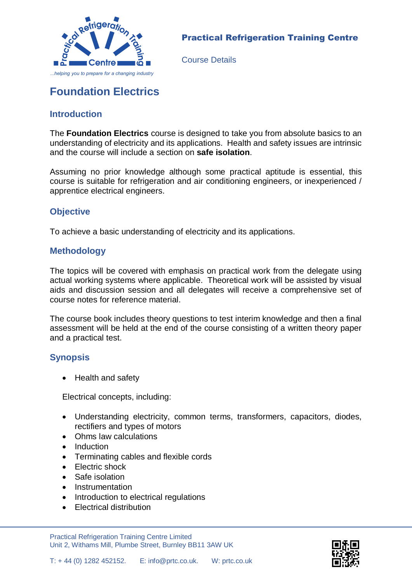

#### Practical Refrigeration Training Centre

Course Details

# **Foundation Electrics**

# **Introduction**

The **Foundation Electrics** course is designed to take you from absolute basics to an understanding of electricity and its applications. Health and safety issues are intrinsic and the course will include a section on **safe isolation**.

Assuming no prior knowledge although some practical aptitude is essential, this course is suitable for refrigeration and air conditioning engineers, or inexperienced / apprentice electrical engineers.

### **Objective**

To achieve a basic understanding of electricity and its applications.

### **Methodology**

The topics will be covered with emphasis on practical work from the delegate using actual working systems where applicable. Theoretical work will be assisted by visual aids and discussion session and all delegates will receive a comprehensive set of course notes for reference material.

The course book includes theory questions to test interim knowledge and then a final assessment will be held at the end of the course consisting of a written theory paper and a practical test.

## **Synopsis**

• Health and safety

Electrical concepts, including:

- Understanding electricity, common terms, transformers, capacitors, diodes, rectifiers and types of motors
- Ohms law calculations
- Induction
- Terminating cables and flexible cords
- Electric shock
- Safe isolation
- Instrumentation
- Introduction to electrical regulations
- Electrical distribution

Practical Refrigeration Training Centre Limited Unit 2, Withams Mill, Plumbe Street, Burnley BB11 3AW UK